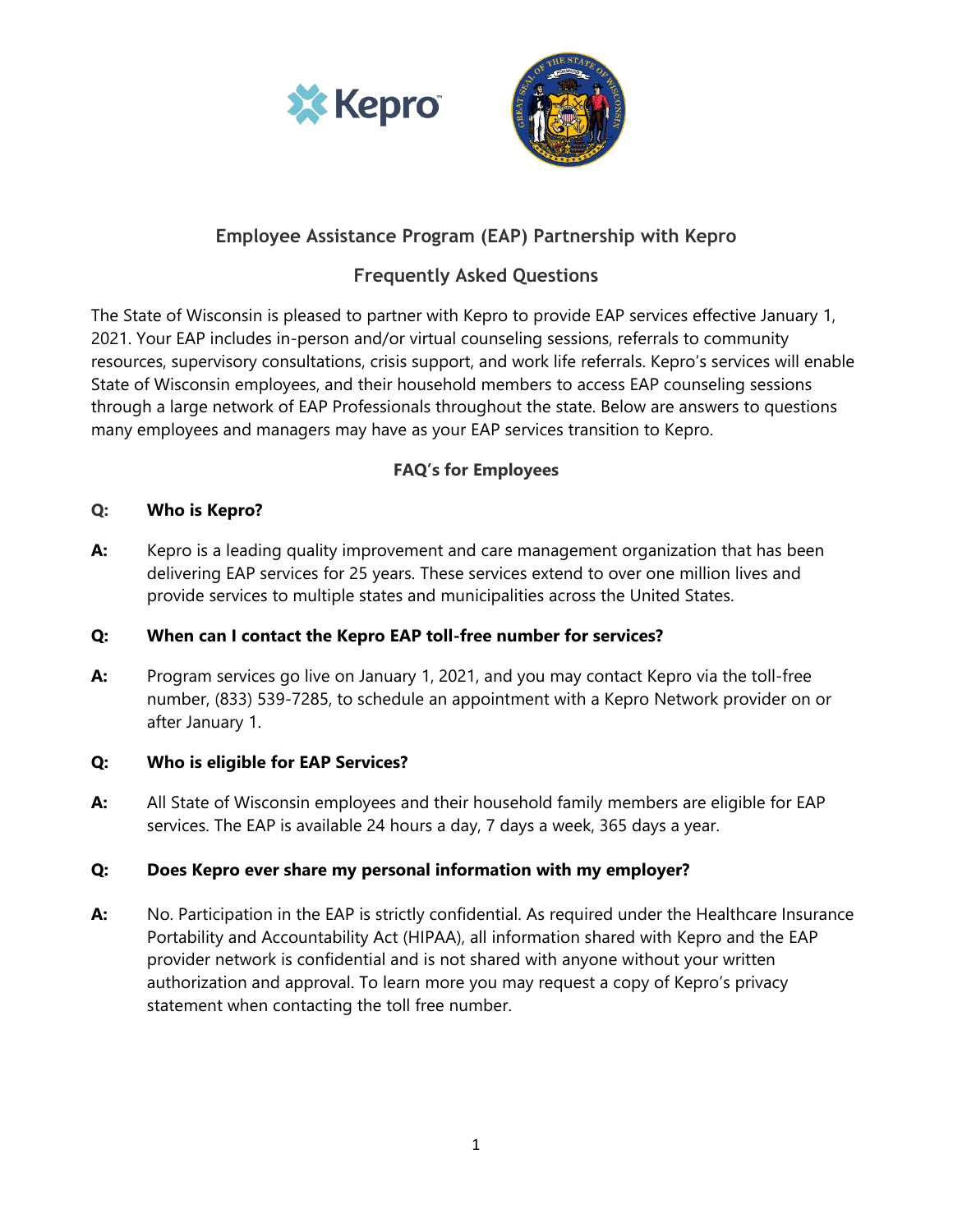



# **Employee Assistance Program (EAP) Partnership with Kepro**

# **Frequently Asked Questions**

The State of Wisconsin is pleased to partner with Kepro to provide EAP services effective January 1, 2021. Your EAP includes in-person and/or virtual counseling sessions, referrals to community resources, supervisory consultations, crisis support, and work life referrals. Kepro's services will enable State of Wisconsin employees, and their household members to access EAP counseling sessions through a large network of EAP Professionals throughout the state. Below are answers to questions many employees and managers may have as your EAP services transition to Kepro.

# **FAQ's for Employees**

## **Q: Who is Kepro?**

**A:** Kepro is a leading quality improvement and care management organization that has been delivering EAP services for 25 years. These services extend to over one million lives and provide services to multiple states and municipalities across the United States.

# **Q: When can I contact the Kepro EAP toll-free number for services?**

**A:** Program services go live on January 1, 2021, and you may contact Kepro via the toll-free number, (833) 539-7285, to schedule an appointment with a Kepro Network provider on or after January 1.

## **Q: Who is eligible for EAP Services?**

**A:** All State of Wisconsin employees and their household family members are eligible for EAP services. The EAP is available 24 hours a day, 7 days a week, 365 days a year.

# **Q: Does Kepro ever share my personal information with my employer?**

**A:** No. Participation in the EAP is strictly confidential. As required under the Healthcare Insurance Portability and Accountability Act (HIPAA), all information shared with Kepro and the EAP provider network is confidential and is not shared with anyone without your written authorization and approval. To learn more you may request a copy of Kepro's privacy statement when contacting the toll free number.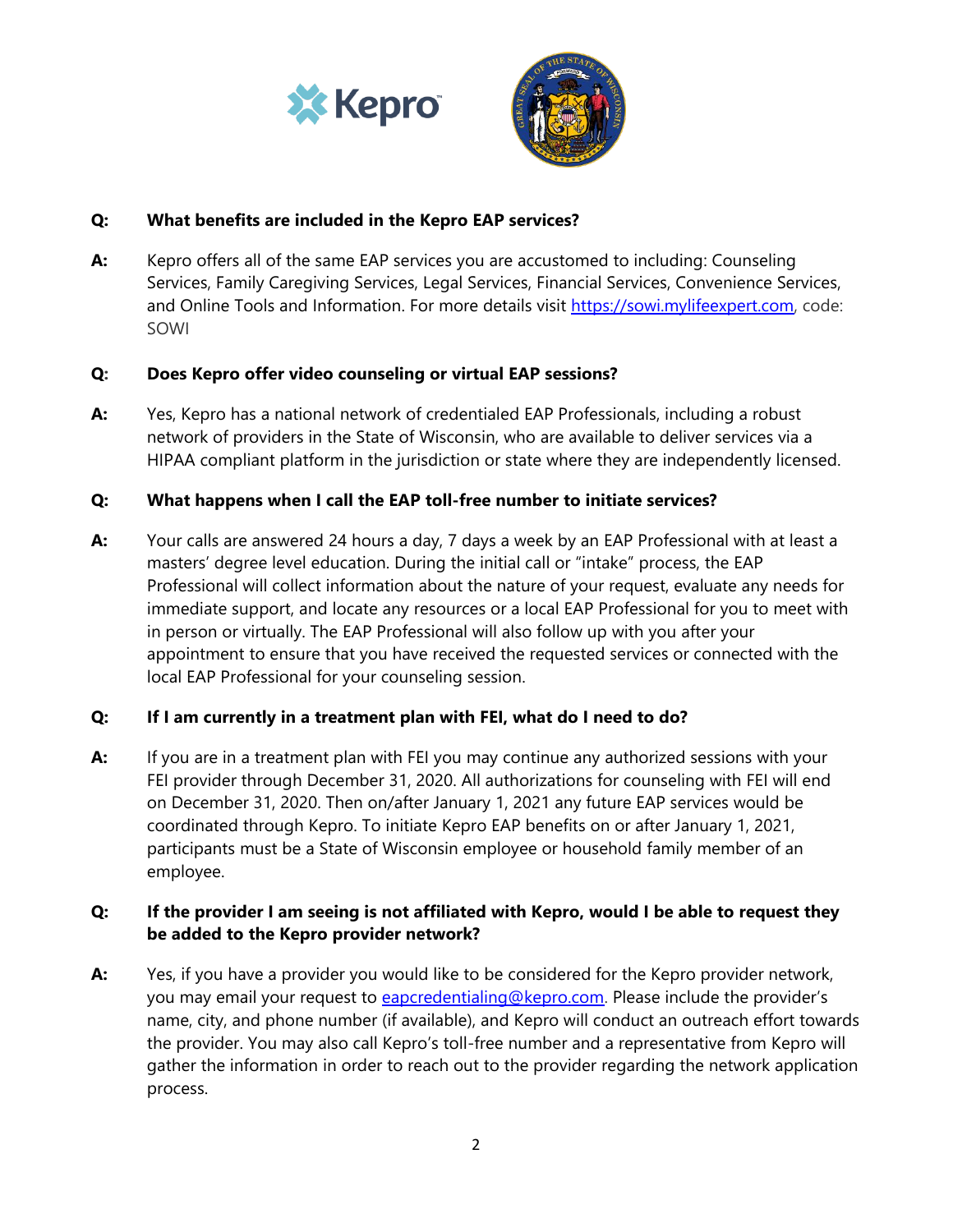



## **Q: What benefits are included in the Kepro EAP services?**

**A:** Kepro offers all of the same EAP services you are accustomed to including: Counseling Services, Family Caregiving Services, Legal Services, Financial Services, Convenience Services, and Online Tools and Information. For more details visit [https://sowi.mylifeexpert.com,](https://sowi.mylifeexpert.com/) code: SOWI

#### **Q: Does Kepro offer video counseling or virtual EAP sessions?**

**A:** Yes, Kepro has a national network of credentialed EAP Professionals, including a robust network of providers in the State of Wisconsin, who are available to deliver services via a HIPAA compliant platform in the jurisdiction or state where they are independently licensed.

## **Q: What happens when I call the EAP toll-free number to initiate services?**

**A:** Your calls are answered 24 hours a day, 7 days a week by an EAP Professional with at least a masters' degree level education. During the initial call or "intake" process, the EAP Professional will collect information about the nature of your request, evaluate any needs for immediate support, and locate any resources or a local EAP Professional for you to meet with in person or virtually. The EAP Professional will also follow up with you after your appointment to ensure that you have received the requested services or connected with the local EAP Professional for your counseling session.

## **Q: If I am currently in a treatment plan with FEI, what do I need to do?**

**A:** If you are in a treatment plan with FEI you may continue any authorized sessions with your FEI provider through December 31, 2020. All authorizations for counseling with FEI will end on December 31, 2020. Then on/after January 1, 2021 any future EAP services would be coordinated through Kepro. To initiate Kepro EAP benefits on or after January 1, 2021, participants must be a State of Wisconsin employee or household family member of an employee.

## **Q: If the provider I am seeing is not affiliated with Kepro, would I be able to request they be added to the Kepro provider network?**

**A:** Yes, if you have a provider you would like to be considered for the Kepro provider network, you may email your request to [eapcredentialing@kepro.com.](mailto:eapcredentialing@kepro.com) Please include the provider's name, city, and phone number (if available), and Kepro will conduct an outreach effort towards the provider. You may also call Kepro's toll-free number and a representative from Kepro will gather the information in order to reach out to the provider regarding the network application process.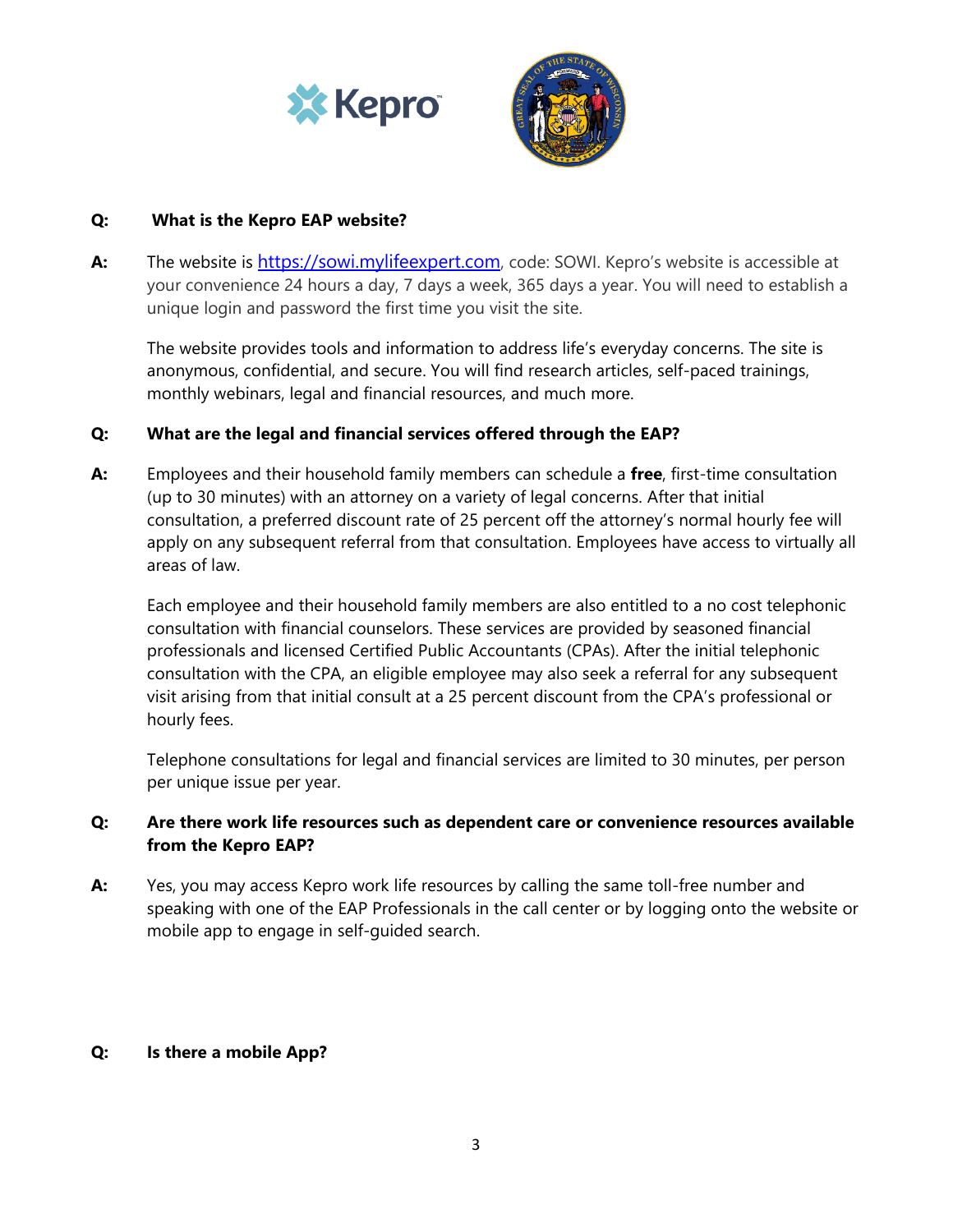



#### **Q: What is the Kepro EAP website?**

**A:** The website is [https://sowi.mylifeexpert.com](https://sowi.mylifeexpert.com/), code: SOWI. Kepro's website is accessible at your convenience 24 hours a day, 7 days a week, 365 days a year. You will need to establish a unique login and password the first time you visit the site.

The website provides tools and information to address life's everyday concerns. The site is anonymous, confidential, and secure. You will find research articles, self-paced trainings, monthly webinars, legal and financial resources, and much more.

## **Q: What are the legal and financial services offered through the EAP?**

**A:** Employees and their household family members can schedule a **free**, first-time consultation (up to 30 minutes) with an attorney on a variety of legal concerns. After that initial consultation, a preferred discount rate of 25 percent off the attorney's normal hourly fee will apply on any subsequent referral from that consultation. Employees have access to virtually all areas of law.

Each employee and their household family members are also entitled to a no cost telephonic consultation with financial counselors. These services are provided by seasoned financial professionals and licensed Certified Public Accountants (CPAs). After the initial telephonic consultation with the CPA, an eligible employee may also seek a referral for any subsequent visit arising from that initial consult at a 25 percent discount from the CPA's professional or hourly fees.

Telephone consultations for legal and financial services are limited to 30 minutes, per person per unique issue per year.

## **Q: Are there work life resources such as dependent care or convenience resources available from the Kepro EAP?**

**A:** Yes, you may access Kepro work life resources by calling the same toll-free number and speaking with one of the EAP Professionals in the call center or by logging onto the website or mobile app to engage in self-guided search.

#### **Q: Is there a mobile App?**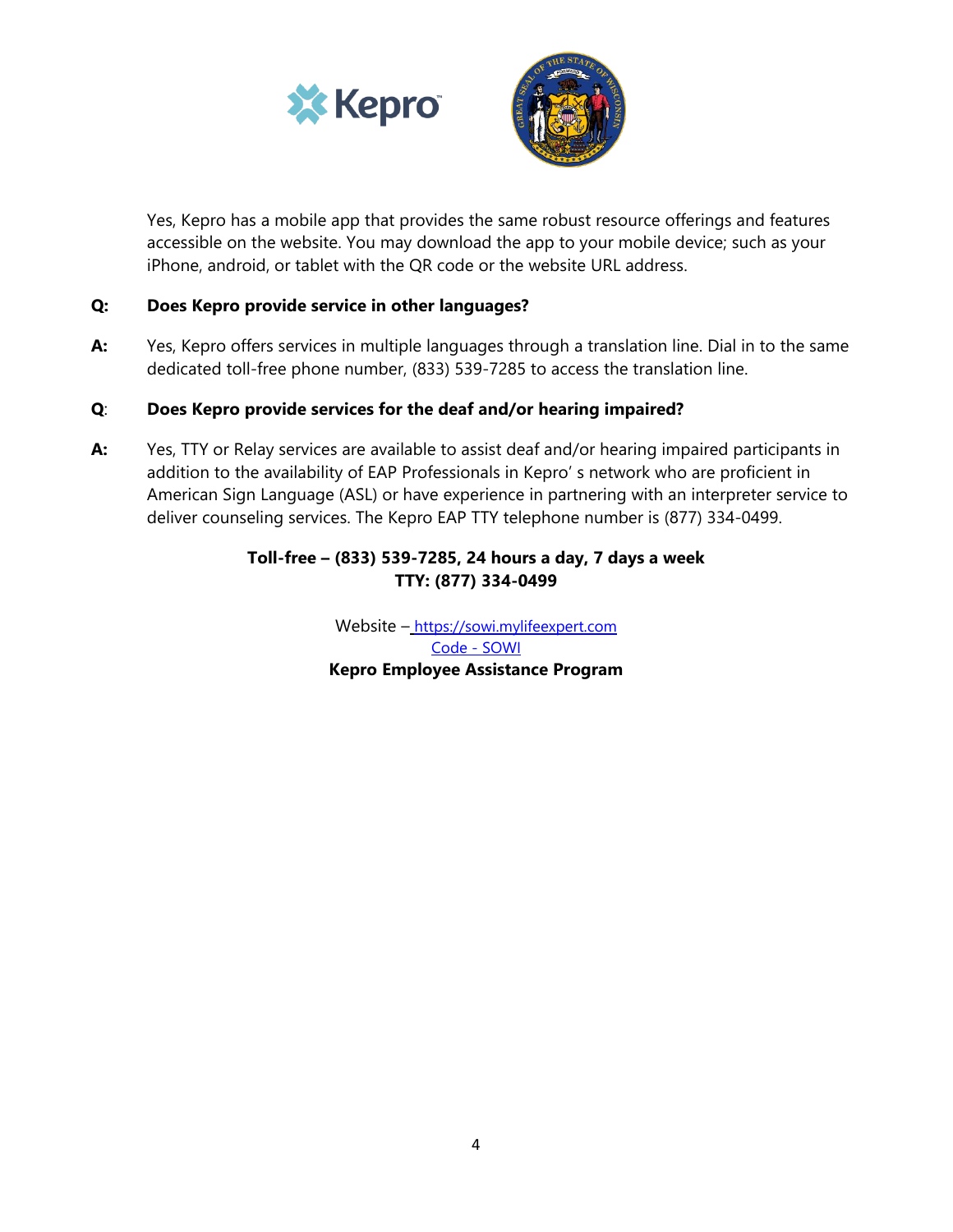



Yes, Kepro has a mobile app that provides the same robust resource offerings and features accessible on the website. You may download the app to your mobile device; such as your iPhone, android, or tablet with the QR code or the website URL address.

#### **Q: Does Kepro provide service in other languages?**

**A:** Yes, Kepro offers services in multiple languages through a translation line. Dial in to the same dedicated toll-free phone number, (833) 539-7285 to access the translation line.

#### **Q**: **Does Kepro provide services for the deaf and/or hearing impaired?**

**A:** Yes, TTY or Relay services are available to assist deaf and/or hearing impaired participants in addition to the availability of EAP Professionals in Kepro' s network who are proficient in American Sign Language (ASL) or have experience in partnering with an interpreter service to deliver counseling services. The Kepro EAP TTY telephone number is (877) 334-0499.

## **Toll-free – (833) 539-7285, 24 hours a day, 7 days a week TTY: (877) 334-0499**

Website – [https://sowi.mylifeexpert.com](https://sowi.mylifeexpert.com/) Code - SOWI **Kepro Employee Assistance Program**